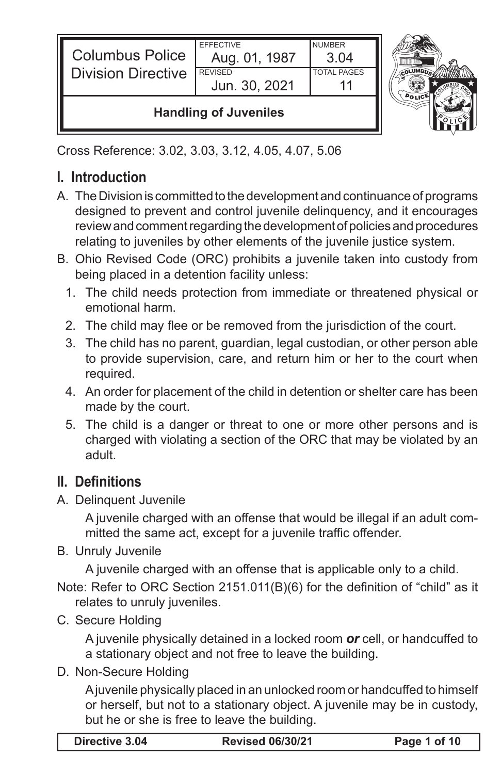| <b>Columbus Police</b><br><b>Division Directive</b> | <b>FFFFCTIVE</b><br>Aug. 01, 1987<br><b>REVISED</b><br>Jun. 30, 2021 | <b>NUMBER</b><br>3 Q4<br><b>TOTAL PAGES</b> |  |
|-----------------------------------------------------|----------------------------------------------------------------------|---------------------------------------------|--|
| <b>Handling of Juveniles</b>                        |                                                                      |                                             |  |

Cross Reference: 3.02, 3.03, 3.12, 4.05, 4.07, 5.06

# **I. Introduction**

- A. The Division is committed to the development and continuance of programs designed to prevent and control juvenile delinquency, and it encourages review and comment regarding the development of policies and procedures relating to juveniles by other elements of the juvenile justice system.
- B. Ohio Revised Code (ORC) prohibits a juvenile taken into custody from being placed in a detention facility unless:
	- 1. The child needs protection from immediate or threatened physical or emotional harm.
	- 2. The child may flee or be removed from the jurisdiction of the court.
	- 3. The child has no parent, guardian, legal custodian, or other person able to provide supervision, care, and return him or her to the court when required.
	- 4. An order for placement of the child in detention or shelter care has been made by the court.
	- 5. The child is a danger or threat to one or more other persons and is charged with violating a section of the ORC that may be violated by an adult.

## **II. Definitions**

A. Delinquent Juvenile

 A juvenile charged with an offense that would be illegal if an adult committed the same act, except for a juvenile traffic offender.

B. Unruly Juvenile

 A juvenile charged with an offense that is applicable only to a child.

Note: Refer to ORC Section 2151.011(B)(6) for the definition of "child" as it relates to unruly juveniles.

C. Secure Holding

A juvenile physically detained in a locked room *or* cell, or handcuffed to a stationary object and not free to leave the building.

D. Non-Secure Holding

 Ajuvenile physically placed in an unlocked room or handcuffed to himself or herself, but not to a stationary object. A juvenile may be in custody, but he or she is free to leave the building.

| <b>Revised 06/30/21</b><br>Directive 3.04 | Page 1 of 10 |
|-------------------------------------------|--------------|
|-------------------------------------------|--------------|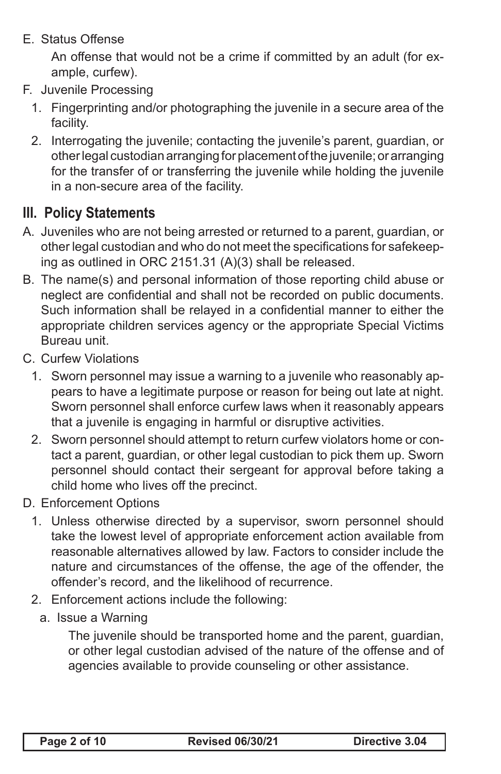#### E. Status Offense

 An offense that would not be a crime if committed by an adult (for example, curfew).

- F. Juvenile Processing
	- 1. Fingerprinting and/or photographing the juvenile in a secure area of the facility.
	- 2. Interrogating the juvenile; contacting the juvenile's parent, guardian, or other legal custodian arranging for placement of the juvenile; or arranging for the transfer of or transferring the juvenile while holding the juvenile in a non-secure area of the facility.

### **III. Policy Statements**

- A. Juveniles who are not being arrested or returned to a parent, guardian, or other legal custodian and who do not meet the specifications for safekeeping as outlined in ORC 2151.31 (A)(3) shall be released.
- B. The name(s) and personal information of those reporting child abuse or neglect are confidential and shall not be recorded on public documents. Such information shall be relayed in a confidential manner to either the appropriate children services agency or the appropriate Special Victims Bureau unit.
- C. Curfew Violations
	- 1. Sworn personnel may issue a warning to a juvenile who reasonably appears to have a legitimate purpose or reason for being out late at night. Sworn personnel shall enforce curfew laws when it reasonably appears that a juvenile is engaging in harmful or disruptive activities.
	- 2. Sworn personnel should attempt to return curfew violators home or contact a parent, guardian, or other legal custodian to pick them up. Sworn personnel should contact their sergeant for approval before taking a child home who lives off the precinct.
- D. Enforcement Options
	- 1. Unless otherwise directed by a supervisor, sworn personnel should take the lowest level of appropriate enforcement action available from reasonable alternatives allowed by law. Factors to consider include the nature and circumstances of the offense, the age of the offender, the offender's record, and the likelihood of recurrence.
	- 2. Enforcement actions include the following:
		- a. Issue a Warning

The juvenile should be transported home and the parent, guardian, or other legal custodian advised of the nature of the offense and of agencies available to provide counseling or other assistance.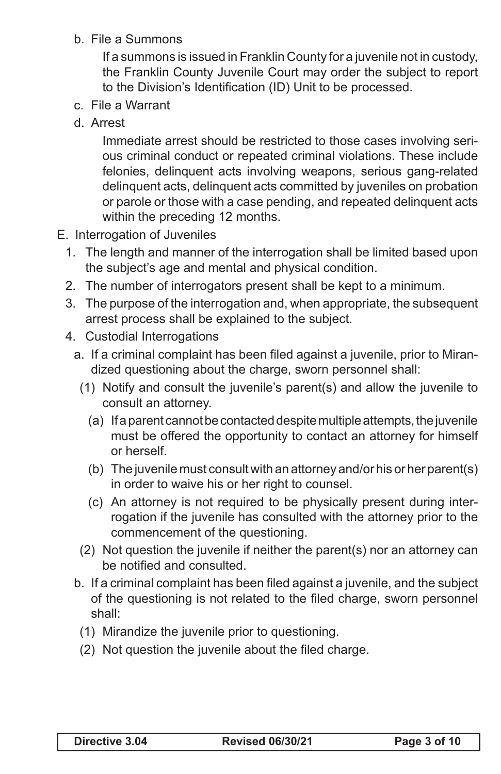b. File a Summons

If a summons is issued in Franklin County for a juvenile not in custody, the Franklin County Juvenile Court may order the subject to report to the Division's Identification (ID) Unit to be processed.

- c. File a Warrant
- d. Arrest

Immediate arrest should be restricted to those cases involving serious criminal conduct or repeated criminal violations. These include felonies, delinquent acts involving weapons, serious gang-related delinquent acts, delinquent acts committed by juveniles on probation or parole or those with a case pending, and repeated delinquent acts within the preceding 12 months.

- E. Interrogation of Juveniles
	- 1. The length and manner of the interrogation shall be limited based upon the subject's age and mental and physical condition.
	- 2. The number of interrogators present shall be kept to a minimum.
	- 3. The purpose of the interrogation and, when appropriate, the subsequent arrest process shall be explained to the subject.
	- 4. Custodial Interrogations
		- a. If a criminal complaint has been filed against a juvenile, prior to Mirandized questioning about the charge, sworn personnel shall:
			- (1) Notify and consult the juvenile's parent(s) and allow the juvenile to consult an attorney.
				- (a) If a parent cannot be contacted despite multiple attempts, the juvenile must be offered the opportunity to contact an attorney for himself or herself.
				- (b) The juvenile must consult with an attorney and/or his or her parent(s) in order to waive his or her right to counsel.
				- (c) An attorney is not required to be physically present during interrogation if the juvenile has consulted with the attorney prior to the commencement of the questioning.
			- (2) Not question the juvenile if neither the parent(s) nor an attorney can be notified and consulted.
		- b. If a criminal complaint has been filed against a juvenile, and the subject of the questioning is not related to the filed charge, sworn personnel shall:
			- (1) Mirandize the juvenile prior to questioning.
			- (2) Not question the juvenile about the filed charge.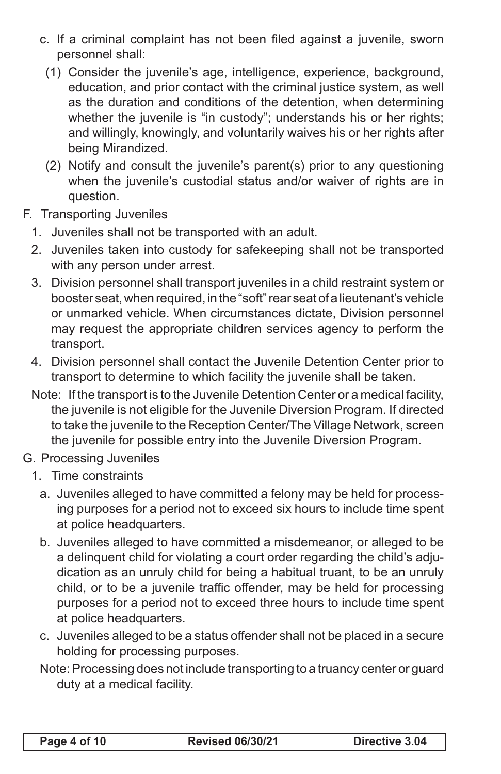- c. If a criminal complaint has not been filed against a juvenile, sworn personnel shall:
	- (1) Consider the juvenile's age, intelligence, experience, background, education, and prior contact with the criminal justice system, as well as the duration and conditions of the detention, when determining whether the juvenile is "in custody"; understands his or her rights; and willingly, knowingly, and voluntarily waives his or her rights after being Mirandized.
	- (2) Notify and consult the juvenile's parent(s) prior to any questioning when the juvenile's custodial status and/or waiver of rights are in question.
- F. Transporting Juveniles
	- 1. Juveniles shall not be transported with an adult.
	- 2. Juveniles taken into custody for safekeeping shall not be transported with any person under arrest.
	- 3. Division personnel shall transport juveniles in a child restraint system or booster seat, when required, in the "soft" rear seat of a lieutenant's vehicle or unmarked vehicle. When circumstances dictate, Division personnel may request the appropriate children services agency to perform the transport.
	- 4. Division personnel shall contact the Juvenile Detention Center prior to transport to determine to which facility the juvenile shall be taken.
	- Note: If the transport is to the Juvenile Detention Center or a medical facility, the juvenile is not eligible for the Juvenile Diversion Program. If directed to take the juvenile to the Reception Center/The Village Network, screen the juvenile for possible entry into the Juvenile Diversion Program.
- G. Processing Juveniles
	- 1. Time constraints
		- a. Juveniles alleged to have committed a felony may be held for processing purposes for a period not to exceed six hours to include time spent at police headquarters.
		- b. Juveniles alleged to have committed a misdemeanor, or alleged to be a delinquent child for violating a court order regarding the child's adjudication as an unruly child for being a habitual truant, to be an unruly child, or to be a juvenile traffic offender, may be held for processing purposes for a period not to exceed three hours to include time spent at police headquarters.
		- c. Juveniles alleged to be a status offender shall not be placed in a secure holding for processing purposes.
		- Note: Processing does not include transporting to a truancy center or guard duty at a medical facility.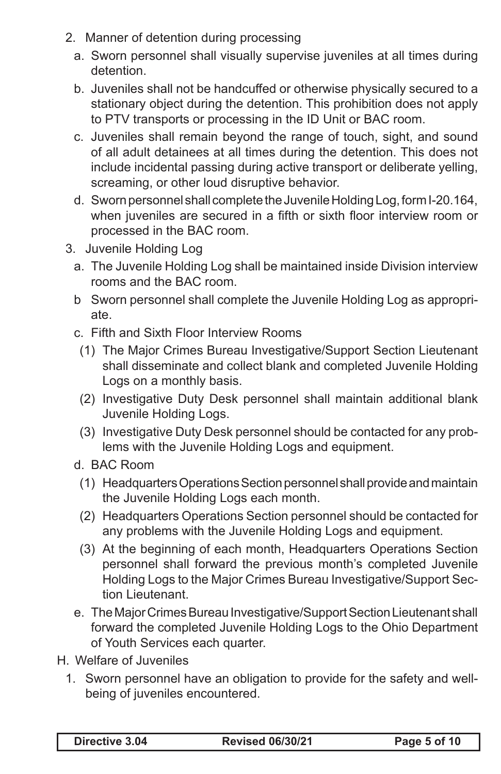- 2. Manner of detention during processing
	- a. Sworn personnel shall visually supervise juveniles at all times during detention.
	- b. Juveniles shall not be handcuffed or otherwise physically secured to a stationary object during the detention. This prohibition does not apply to PTV transports or processing in the ID Unit or BAC room.
	- c. Juveniles shall remain beyond the range of touch, sight, and sound of all adult detainees at all times during the detention. This does not include incidental passing during active transport or deliberate yelling, screaming, or other loud disruptive behavior.
	- d. Sworn personnel shall complete the Juvenile Holding Log, form I-20.164, when juveniles are secured in a fifth or sixth floor interview room or processed in the BAC room.
- 3. Juvenile Holding Log
	- a. The Juvenile Holding Log shall be maintained inside Division interview rooms and the BAC room.
	- b Sworn personnel shall complete the Juvenile Holding Log as appropriate.
	- c. Fifth and Sixth Floor Interview Rooms
		- (1) The Major Crimes Bureau Investigative/Support Section Lieutenant shall disseminate and collect blank and completed Juvenile Holding Logs on a monthly basis.
		- (2) Investigative Duty Desk personnel shall maintain additional blank Juvenile Holding Logs.
		- (3) Investigative Duty Desk personnel should be contacted for any problems with the Juvenile Holding Logs and equipment.
	- d. BAC Room
		- (1) Headquarters Operations Sectionpersonnel shall provide and maintain the Juvenile Holding Logs each month.
		- (2) Headquarters Operations Section personnel should be contacted for any problems with the Juvenile Holding Logs and equipment.
		- (3) At the beginning of each month, Headquarters Operations Section personnel shall forward the previous month's completed Juvenile Holding Logs to the Major Crimes Bureau Investigative/Support Section Lieutenant.
	- e. The Major Crimes Bureau Investigative/Support Section Lieutenant shall forward the completed Juvenile Holding Logs to the Ohio Department of Youth Services each quarter.
- H. Welfare of Juveniles
	- 1. Sworn personnel have an obligation to provide for the safety and wellbeing of juveniles encountered.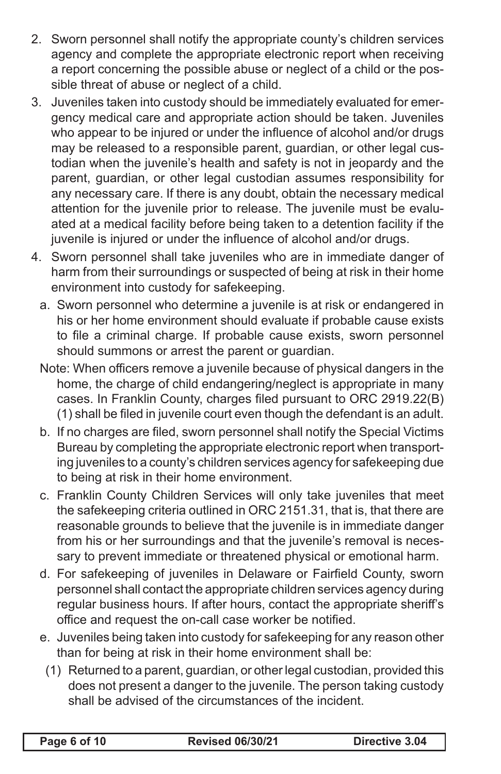- 2. Sworn personnel shall notify the appropriate county's children services agency and complete the appropriate electronic report when receiving a report concerning the possible abuse or neglect of a child or the possible threat of abuse or neglect of a child.
- 3. Juveniles taken into custody should be immediately evaluated for emergency medical care and appropriate action should be taken. Juveniles who appear to be injured or under the influence of alcohol and/or drugs may be released to a responsible parent, guardian, or other legal custodian when the juvenile's health and safety is not in jeopardy and the parent, guardian, or other legal custodian assumes responsibility for any necessary care. If there is any doubt, obtain the necessary medical attention for the juvenile prior to release. The juvenile must be evaluated at a medical facility before being taken to a detention facility if the juvenile is injured or under the influence of alcohol and/or drugs.
- 4. Sworn personnel shall take juveniles who are in immediate danger of harm from their surroundings or suspected of being at risk in their home environment into custody for safekeeping.
	- a. Sworn personnel who determine a juvenile is at risk or endangered in his or her home environment should evaluate if probable cause exists to file a criminal charge. If probable cause exists, sworn personnel should summons or arrest the parent or guardian.
	- Note: When officers remove a juvenile because of physical dangers in the home, the charge of child endangering/neglect is appropriate in many cases. In Franklin County, charges filed pursuant to ORC 2919.22(B) (1) shall be filed in juvenile court even though the defendant is an adult.
	- b. If no charges are filed, sworn personnel shall notify the Special Victims Bureau by completing the appropriate electronic report when transporting juveniles to a county's children services agency for safekeeping due to being at risk in their home environment.
	- c. Franklin County Children Services will only take juveniles that meet the safekeeping criteria outlined in ORC 2151.31, that is, that there are reasonable grounds to believe that the juvenile is in immediate danger from his or her surroundings and that the juvenile's removal is necessary to prevent immediate or threatened physical or emotional harm.
	- d. For safekeeping of juveniles in Delaware or Fairfield County, sworn personnel shall contact the appropriate children services agency during regular business hours. If after hours, contact the appropriate sheriff's office and request the on-call case worker be notified.
	- e. Juveniles being taken into custody for safekeeping for any reason other than for being at risk in their home environment shall be:
	- (1) Returned to a parent, guardian, or other legal custodian, provided this does not present a danger to the juvenile. The person taking custody shall be advised of the circumstances of the incident.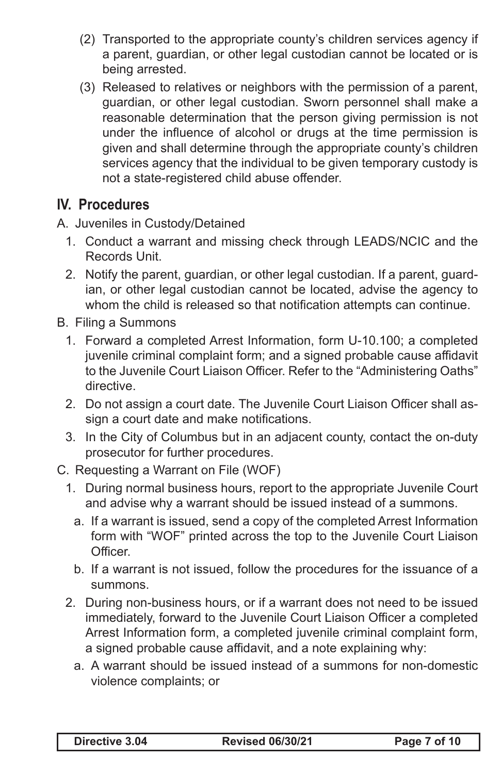- (2) Transported to the appropriate county's children services agency if a parent, guardian, or other legal custodian cannot be located or is being arrested.
- (3) Released to relatives or neighbors with the permission of a parent, guardian, or other legal custodian. Sworn personnel shall make a reasonable determination that the person giving permission is not under the influence of alcohol or drugs at the time permission is given and shall determine through the appropriate county's children services agency that the individual to be given temporary custody is not a state-registered child abuse offender.

### **IV. Procedures**

A. Juveniles in Custody/Detained

- 1. Conduct a warrant and missing check through LEADS/NCIC and the Records Unit.
- 2. Notify the parent, guardian, or other legal custodian. If a parent, guardian, or other legal custodian cannot be located, advise the agency to whom the child is released so that notification attempts can continue.

B. Filing a Summons

- 1. Forward a completed Arrest Information, form U-10.100; a completed juvenile criminal complaint form; and a signed probable cause affidavit to the Juvenile Court Liaison Officer. Refer to the "Administering Oaths" directive.
- 2. Do not assign a court date. The Juvenile Court Liaison Officer shall assign a court date and make notifications.
- 3. In the City of Columbus but in an adjacent county, contact the on-duty prosecutor for further procedures.
- C. Requesting a Warrant on File (WOF)
	- 1. During normal business hours, report to the appropriate Juvenile Court and advise why a warrant should be issued instead of a summons.
		- a. If a warrant is issued, send a copy of the completed Arrest Information form with "WOF" printed across the top to the Juvenile Court Liaison Officer.
		- b. If a warrant is not issued, follow the procedures for the issuance of a summons.
	- 2. During non-business hours, or if a warrant does not need to be issued immediately, forward to the Juvenile Court Liaison Officer a completed Arrest Information form, a completed juvenile criminal complaint form, a signed probable cause affidavit, and a note explaining why:
		- a. A warrant should be issued instead of a summons for non-domestic violence complaints; or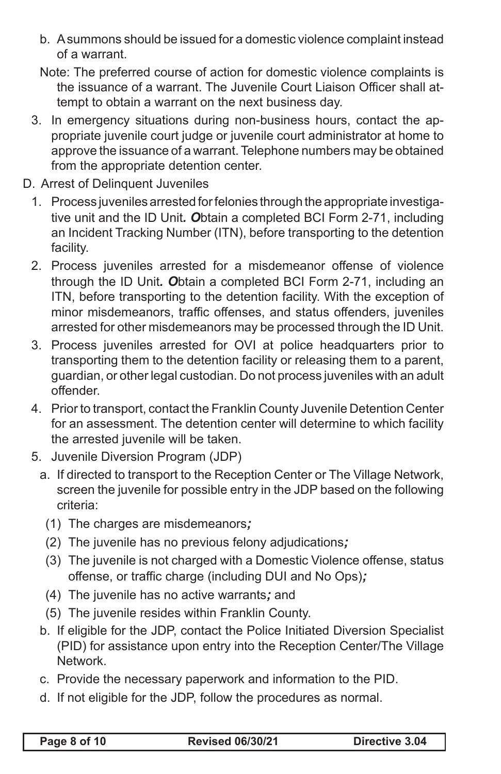b. A summons should be issued for a domestic violence complaint instead of a warrant.

Note: The preferred course of action for domestic violence complaints is the issuance of a warrant. The Juvenile Court Liaison Officer shall attempt to obtain a warrant on the next business day.

- 3. In emergency situations during non-business hours, contact the appropriate juvenile court judge or juvenile court administrator at home to approve the issuance of a warrant. Telephone numbers may be obtained from the appropriate detention center.
- D. Arrest of Delinquent Juveniles
	- 1. Process juveniles arrested for felonies through the appropriate investigative unit and the ID Unit*. O*btain a completed BCI Form 2-71, including an Incident Tracking Number (ITN), before transporting to the detention facility.
	- 2. Process juveniles arrested for a misdemeanor offense of violence through the ID Unit*. O*btain a completed BCI Form 2-71, including an ITN, before transporting to the detention facility. With the exception of minor misdemeanors, traffic offenses, and status offenders, juveniles arrested for other misdemeanors may be processed through the ID Unit.
	- 3. Process juveniles arrested for OVI at police headquarters prior to transporting them to the detention facility or releasing them to a parent, guardian, or other legal custodian. Do not process juveniles with an adult offender.
	- 4. Prior to transport, contact the Franklin County Juvenile Detention Center for an assessment. The detention center will determine to which facility the arrested juvenile will be taken.
	- 5. Juvenile Diversion Program (JDP)
		- a. If directed to transport to the Reception Center or The Village Network, screen the juvenile for possible entry in the JDP based on the following criteria:
			- (1) The charges are misdemeanors*;*
			- (2) The juvenile has no previous felony adjudications*;*
			- (3) The juvenile is not charged with a Domestic Violence offense, status offense, or traffic charge (including DUI and No Ops)*;*
			- (4) The juvenile has no active warrants*;* and
			- (5) The juvenile resides within Franklin County.
		- b. If eligible for the JDP, contact the Police Initiated Diversion Specialist (PID) for assistance upon entry into the Reception Center/The Village Network.
		- c. Provide the necessary paperwork and information to the PID.
		- d. If not eligible for the JDP, follow the procedures as normal.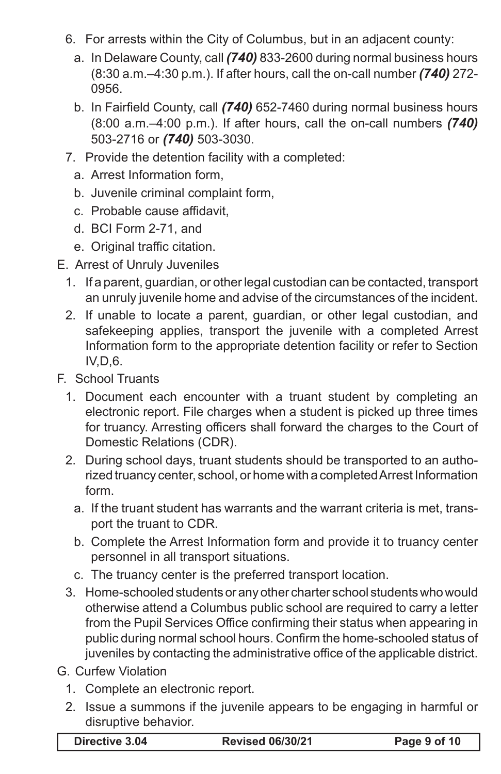- 6. For arrests within the City of Columbus, but in an adjacent county:
	- a. In Delaware County, call *(740)* 833-2600 during normal business hours (8:30 a.m.–4:30 p.m.). If after hours, call the on-call number *(740)* 272- 0956.
	- b. In Fairfield County, call *(740)* 652-7460 during normal business hours (8:00 a.m.–4:00 p.m.). If after hours, call the on-call numbers *(740)*  503-2716 or *(740)* 503-3030.
- 7. Provide the detention facility with a completed:
	- a. Arrest Information form,
	- b. Juvenile criminal complaint form,
	- c. Probable cause affidavit,
	- d. BCI Form 2-71, and
	- e. Original traffic citation.
- E. Arrest of Unruly Juveniles
	- 1. If a parent, guardian, or other legal custodian can be contacted, transport an unruly juvenile home and advise of the circumstances of the incident.
	- 2. If unable to locate a parent, guardian, or other legal custodian, and safekeeping applies, transport the juvenile with a completed Arrest Information form to the appropriate detention facility or refer to Section IV,D,6.
- F. School Truants
	- 1. Document each encounter with a truant student by completing an electronic report. File charges when a student is picked up three times for truancy. Arresting officers shall forward the charges to the Court of Domestic Relations (CDR).
	- 2. During school days, truant students should be transported to an authorized truancy center, school, or home with a completed Arrest Information form.
		- a. If the truant student has warrants and the warrant criteria is met, transport the truant to CDR.
		- b. Complete the Arrest Information form and provide it to truancy center personnel in all transport situations.
		- c. The truancy center is the preferred transport location.
	- 3. Home-schooled students or any other charter school students who would otherwise attend a Columbus public school are required to carry a letter from the Pupil Services Office confirming their status when appearing in public during normal school hours. Confirm the home-schooled status of juveniles by contacting the administrative office of the applicable district.
- G. Curfew Violation
	- 1. Complete an electronic report.
	- 2. Issue a summons if the juvenile appears to be engaging in harmful or disruptive behavior.

| Directive 3.04 |  |
|----------------|--|
|----------------|--|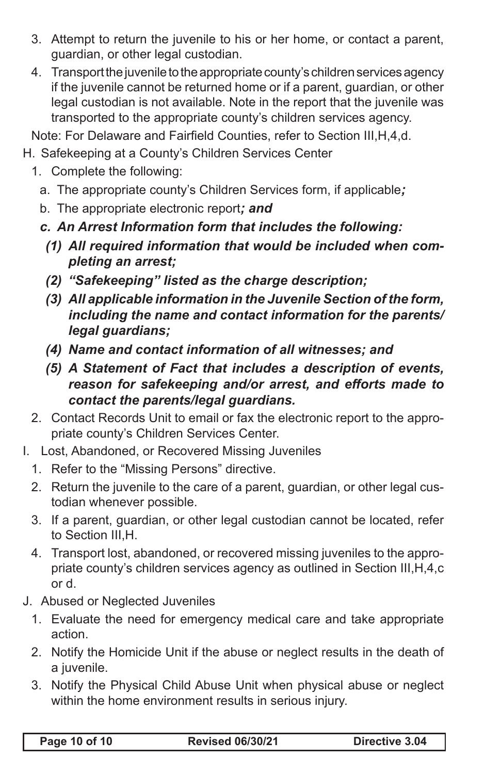- 3. Attempt to return the juvenile to his or her home, or contact a parent, guardian, or other legal custodian.
- 4. Transport the juvenile to the appropriate county's children services agency if the juvenile cannot be returned home or if a parent, guardian, or other legal custodian is not available. Note in the report that the juvenile was transported to the appropriate county's children services agency.

Note: For Delaware and Fairfield Counties, refer to Section III,H,4,d.

- H. Safekeeping at a County's Children Services Center
	- 1. Complete the following:
		- a. The appropriate county's Children Services form, if applicable*;*
		- b. The appropriate electronic report*; and*
		- *c. An Arrest Information form that includes the following:*
			- *(1) All required information that would be included when completing an arrest;*
			- *(2) "Safekeeping" listed as the charge description;*
			- *(3) All applicable information in the Juvenile Section of the form, including the name and contact information for the parents/ legal guardians;*
			- *(4) Name and contact information of all witnesses; and*
			- *(5) A Statement of Fact that includes a description of events, reason for safekeeping and/or arrest, and efforts made to contact the parents/legal guardians.*
	- 2. Contact Records Unit to email or fax the electronic report to the appropriate county's Children Services Center.
- I. Lost, Abandoned, or Recovered Missing Juveniles
	- 1. Refer to the "Missing Persons" directive.
	- 2. Return the juvenile to the care of a parent, guardian, or other legal custodian whenever possible.
	- 3. If a parent, guardian, or other legal custodian cannot be located, refer to Section III,H.
	- 4. Transport lost, abandoned, or recovered missing juveniles to the appropriate county's children services agency as outlined in Section III,H,4,c or d.
- J. Abused or Neglected Juveniles
	- 1. Evaluate the need for emergency medical care and take appropriate action.
	- 2. Notify the Homicide Unit if the abuse or neglect results in the death of a *juvenile*.
	- 3. Notify the Physical Child Abuse Unit when physical abuse or neglect within the home environment results in serious injury.